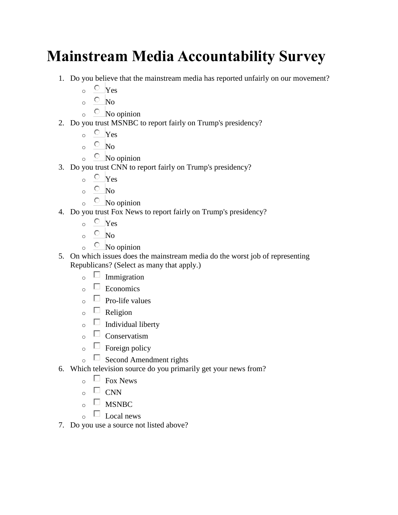## **Mainstream Media Accountability Survey**

- 1. Do you believe that the mainstream media has reported unfairly on our movement?
	- $\circ$  Yes
	- $\circ$  No
	- $\circ$  No opinion
- 2. Do you trust MSNBC to report fairly on Trump's presidency?
	- $\circ$  Yes
	- $\circ$  No
	- $\circ$  No opinion
- 3. Do you trust CNN to report fairly on Trump's presidency?
	- $\circ$  Yes
	- $\circ$  No
	- $\circ$  No opinion
- 4. Do you trust Fox News to report fairly on Trump's presidency?
	- $\circ$  Yes
	- $\circ$  No
	- $\circ$  No opinion
- 5. On which issues does the mainstream media do the worst job of representing Republicans? (Select as many that apply.)
	- $\circ$  Immigration
	- $\circ$  Economics
	- $\overline{\circ}$  Pro-life values
	- $\circ$   $\Box$  Religion
	- $\overline{\circ}$  Individual liberty
	- $\circ$   $\Box$  Conservatism
	- $\circ$   $\Box$  Foreign policy
	- $\circ$   $\Box$  Second Amendment rights
- 6. Which television source do you primarily get your news from?
	- $\circ$   $\Box$  Fox News
	- $_{\circ}$   $\Box$  CNN
	- $_{\circ}$  MSNBC
	- $\circ$   $\Box$  Local news
- 7. Do you use a source not listed above?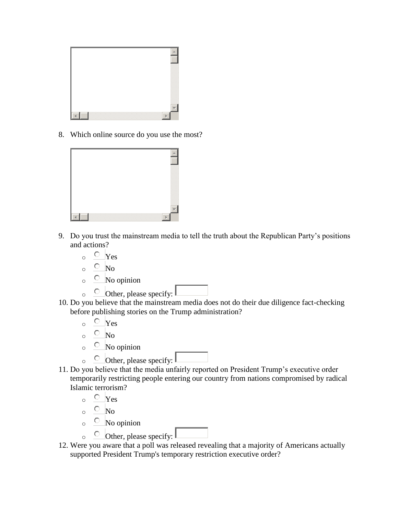

8. Which online source do you use the most?



- 9. Do you trust the mainstream media to tell the truth about the Republican Party's positions and actions?
	- $\circ$  Yes
	- $\circ$  No
	- $\circ$  No opinion
	- $\circ$  Other, please specify:
- 10. Do you believe that the mainstream media does not do their due diligence fact-checking before publishing stories on the Trump administration?
	- $\circ$  Yes
	- $\circ$  No
	- $\circ$  No opinion
	- $\circ$  Other, please specify:
- 11. Do you believe that the media unfairly reported on President Trump's executive order temporarily restricting people entering our country from nations compromised by radical Islamic terrorism?
	- $\circ$  Yes
	- $\circ$  No
	- $\circ$  No opinion
	- $\circ$  Other, please specify:
- 12. Were you aware that a poll was released revealing that a majority of Americans actually supported President Trump's temporary restriction executive order?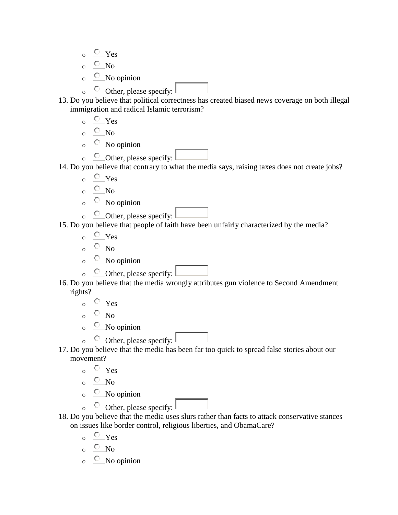- $\circ$  Yes
- $\circ$  No
- $\circ$  No opinion
- $\circ$  Other, please specify:
- 13. Do you believe that political correctness has created biased news coverage on both illegal immigration and radical Islamic terrorism?
	- $\circ$  Yes
	- $\circ$  No
	- $\circ$  No opinion
	- $\circ$  Other, please specify:
- 14. Do you believe that contrary to what the media says, raising taxes does not create jobs?
	- $\circ$  Yes
	- $\circ$  No
	- $\circ$  No opinion
	- $\circ$  Other, please specify:
- 15. Do you believe that people of faith have been unfairly characterized by the media?
	- $\circ$  Yes
	- $\circ$  No
	- $\circ$  No opinion
	- $\circ$  Other, please specify:  $\mathbb{L}$
- 16. Do you believe that the media wrongly attributes gun violence to Second Amendment rights?
	- $\circ$  Yes
	- $\circ$  No
	- $\circ$  No opinion
	- $\circ$  Other, please specify:
- 17. Do you believe that the media has been far too quick to spread false stories about our movement?
	- $\circ$  Yes
	- $\circ$  No
	- $\circ$  No opinion
	- $\circ$  Other, please specify:
- 18. Do you believe that the media uses slurs rather than facts to attack conservative stances on issues like border control, religious liberties, and ObamaCare?
	- $\circ$  Yes
	- $\circ$  No
	- $\circ$  No opinion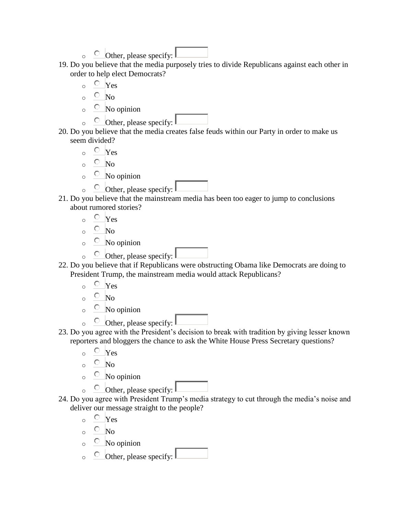- $\circ$  Other, please specify:
- 19. Do you believe that the media purposely tries to divide Republicans against each other in order to help elect Democrats?
	- $\circ$  Yes
	- $\circ$  No
	- $\circ$  No opinion
	- $\circ$  Other, please specify:
- 20. Do you believe that the media creates false feuds within our Party in order to make us seem divided?
	- $\circ$  Yes
	- $\circ$  No
	- $\circ$  No opinion
	- $\circ$  Other, please specify:
- 21. Do you believe that the mainstream media has been too eager to jump to conclusions about rumored stories?
	- $\circ$  Yes
	- $\circ$  No
	- $\circ$  No opinion
	- $\circ$  Other, please specify:
- 22. Do you believe that if Republicans were obstructing Obama like Democrats are doing to President Trump, the mainstream media would attack Republicans?
	- $\circ$  Yes
	- $\circ$  No
	- $\circ$  No opinion
	- $\circ$  Other, please specify:
- 23. Do you agree with the President's decision to break with tradition by giving lesser known reporters and bloggers the chance to ask the White House Press Secretary questions?
	- $\circ$  Yes
	- $\circ$  No
	- $\circ$  No opinion
	- $\circ$  Other, please specify:
- 24. Do you agree with President Trump's media strategy to cut through the media's noise and deliver our message straight to the people?
	- $\circ$  Yes
	- $\circ$  No
	- $\circ$  No opinion
	- $\circ$  Other, please specify: